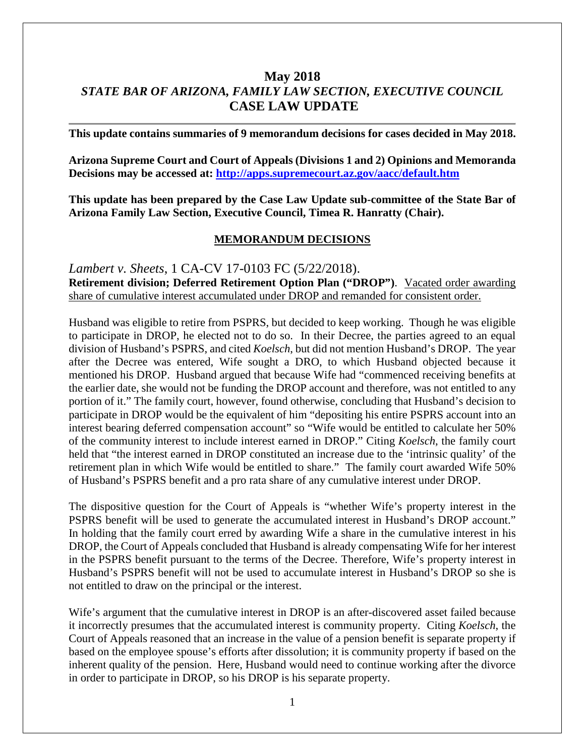# **May 2018** *STATE BAR OF ARIZONA, FAMILY LAW SECTION, EXECUTIVE COUNCIL* **CASE LAW UPDATE**

**This update contains summaries of 9 memorandum decisions for cases decided in May 2018.**

**Arizona Supreme Court and Court of Appeals (Divisions 1 and 2) Opinions and Memoranda Decisions may be accessed at: <http://apps.supremecourt.az.gov/aacc/default.htm>**

**This update has been prepared by the Case Law Update sub-committee of the State Bar of Arizona Family Law Section, Executive Council, Timea R. Hanratty (Chair).**

#### **MEMORANDUM DECISIONS**

*Lambert v. Sheets*, 1 CA-CV 17-0103 FC (5/22/2018). **Retirement division; Deferred Retirement Option Plan ("DROP")**. Vacated order awarding share of cumulative interest accumulated under DROP and remanded for consistent order.

Husband was eligible to retire from PSPRS, but decided to keep working. Though he was eligible to participate in DROP, he elected not to do so. In their Decree, the parties agreed to an equal division of Husband's PSPRS, and cited *Koelsch*, but did not mention Husband's DROP. The year after the Decree was entered, Wife sought a DRO, to which Husband objected because it mentioned his DROP. Husband argued that because Wife had "commenced receiving benefits at the earlier date, she would not be funding the DROP account and therefore, was not entitled to any portion of it." The family court, however, found otherwise, concluding that Husband's decision to participate in DROP would be the equivalent of him "depositing his entire PSPRS account into an interest bearing deferred compensation account" so "Wife would be entitled to calculate her 50% of the community interest to include interest earned in DROP." Citing *Koelsch*, the family court held that "the interest earned in DROP constituted an increase due to the 'intrinsic quality' of the retirement plan in which Wife would be entitled to share." The family court awarded Wife 50% of Husband's PSPRS benefit and a pro rata share of any cumulative interest under DROP.

The dispositive question for the Court of Appeals is "whether Wife's property interest in the PSPRS benefit will be used to generate the accumulated interest in Husband's DROP account." In holding that the family court erred by awarding Wife a share in the cumulative interest in his DROP, the Court of Appeals concluded that Husband is already compensating Wife for her interest in the PSPRS benefit pursuant to the terms of the Decree. Therefore, Wife's property interest in Husband's PSPRS benefit will not be used to accumulate interest in Husband's DROP so she is not entitled to draw on the principal or the interest.

Wife's argument that the cumulative interest in DROP is an after-discovered asset failed because it incorrectly presumes that the accumulated interest is community property. Citing *Koelsch*, the Court of Appeals reasoned that an increase in the value of a pension benefit is separate property if based on the employee spouse's efforts after dissolution; it is community property if based on the inherent quality of the pension. Here, Husband would need to continue working after the divorce in order to participate in DROP, so his DROP is his separate property.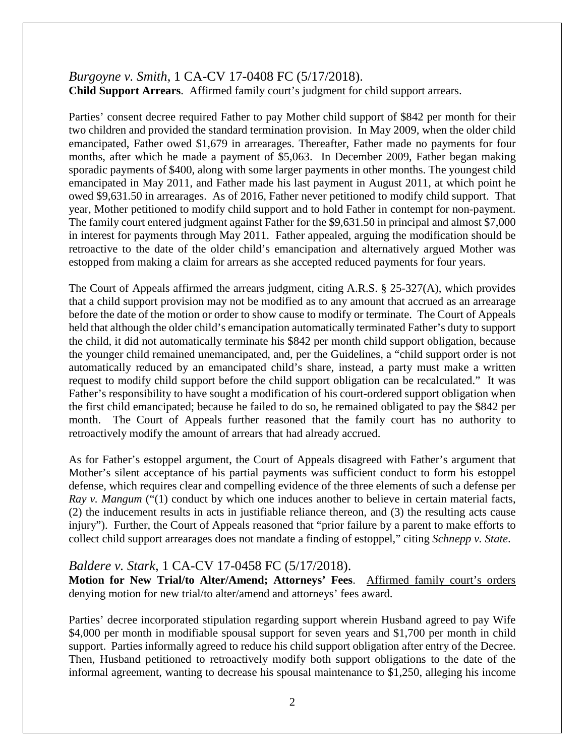# *Burgoyne v. Smith*, 1 CA-CV 17-0408 FC (5/17/2018). **Child Support Arrears**. Affirmed family court's judgment for child support arrears.

Parties' consent decree required Father to pay Mother child support of \$842 per month for their two children and provided the standard termination provision. In May 2009, when the older child emancipated, Father owed \$1,679 in arrearages. Thereafter, Father made no payments for four months, after which he made a payment of \$5,063. In December 2009, Father began making sporadic payments of \$400, along with some larger payments in other months. The youngest child emancipated in May 2011, and Father made his last payment in August 2011, at which point he owed \$9,631.50 in arrearages. As of 2016, Father never petitioned to modify child support. That year, Mother petitioned to modify child support and to hold Father in contempt for non-payment. The family court entered judgment against Father for the \$9,631.50 in principal and almost \$7,000 in interest for payments through May 2011. Father appealed, arguing the modification should be retroactive to the date of the older child's emancipation and alternatively argued Mother was estopped from making a claim for arrears as she accepted reduced payments for four years.

The Court of Appeals affirmed the arrears judgment, citing A.R.S. § 25-327(A), which provides that a child support provision may not be modified as to any amount that accrued as an arrearage before the date of the motion or order to show cause to modify or terminate. The Court of Appeals held that although the older child's emancipation automatically terminated Father's duty to support the child, it did not automatically terminate his \$842 per month child support obligation, because the younger child remained unemancipated, and, per the Guidelines, a "child support order is not automatically reduced by an emancipated child's share, instead, a party must make a written request to modify child support before the child support obligation can be recalculated." It was Father's responsibility to have sought a modification of his court-ordered support obligation when the first child emancipated; because he failed to do so, he remained obligated to pay the \$842 per month. The Court of Appeals further reasoned that the family court has no authority to retroactively modify the amount of arrears that had already accrued.

As for Father's estoppel argument, the Court of Appeals disagreed with Father's argument that Mother's silent acceptance of his partial payments was sufficient conduct to form his estoppel defense, which requires clear and compelling evidence of the three elements of such a defense per *Ray v. Mangum* ("(1) conduct by which one induces another to believe in certain material facts, (2) the inducement results in acts in justifiable reliance thereon, and (3) the resulting acts cause injury"). Further, the Court of Appeals reasoned that "prior failure by a parent to make efforts to collect child support arrearages does not mandate a finding of estoppel," citing *Schnepp v. State*.

### *Baldere v. Stark*, 1 CA-CV 17-0458 FC (5/17/2018).

**Motion for New Trial/to Alter/Amend; Attorneys' Fees**. Affirmed family court's orders denying motion for new trial/to alter/amend and attorneys' fees award.

Parties' decree incorporated stipulation regarding support wherein Husband agreed to pay Wife \$4,000 per month in modifiable spousal support for seven years and \$1,700 per month in child support. Parties informally agreed to reduce his child support obligation after entry of the Decree. Then, Husband petitioned to retroactively modify both support obligations to the date of the informal agreement, wanting to decrease his spousal maintenance to \$1,250, alleging his income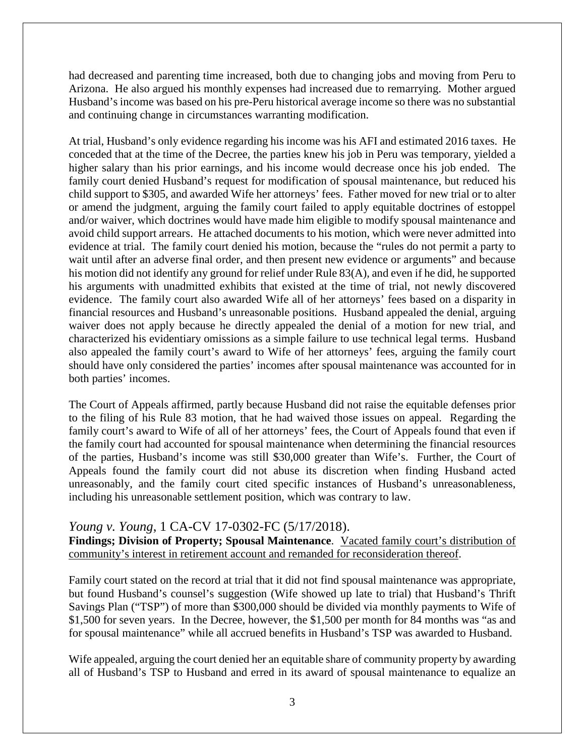had decreased and parenting time increased, both due to changing jobs and moving from Peru to Arizona. He also argued his monthly expenses had increased due to remarrying. Mother argued Husband's income was based on his pre-Peru historical average income so there was no substantial and continuing change in circumstances warranting modification.

At trial, Husband's only evidence regarding his income was his AFI and estimated 2016 taxes. He conceded that at the time of the Decree, the parties knew his job in Peru was temporary, yielded a higher salary than his prior earnings, and his income would decrease once his job ended. The family court denied Husband's request for modification of spousal maintenance, but reduced his child support to \$305, and awarded Wife her attorneys' fees. Father moved for new trial or to alter or amend the judgment, arguing the family court failed to apply equitable doctrines of estoppel and/or waiver, which doctrines would have made him eligible to modify spousal maintenance and avoid child support arrears. He attached documents to his motion, which were never admitted into evidence at trial. The family court denied his motion, because the "rules do not permit a party to wait until after an adverse final order, and then present new evidence or arguments" and because his motion did not identify any ground for relief under Rule 83(A), and even if he did, he supported his arguments with unadmitted exhibits that existed at the time of trial, not newly discovered evidence. The family court also awarded Wife all of her attorneys' fees based on a disparity in financial resources and Husband's unreasonable positions. Husband appealed the denial, arguing waiver does not apply because he directly appealed the denial of a motion for new trial, and characterized his evidentiary omissions as a simple failure to use technical legal terms. Husband also appealed the family court's award to Wife of her attorneys' fees, arguing the family court should have only considered the parties' incomes after spousal maintenance was accounted for in both parties' incomes.

The Court of Appeals affirmed, partly because Husband did not raise the equitable defenses prior to the filing of his Rule 83 motion, that he had waived those issues on appeal. Regarding the family court's award to Wife of all of her attorneys' fees, the Court of Appeals found that even if the family court had accounted for spousal maintenance when determining the financial resources of the parties, Husband's income was still \$30,000 greater than Wife's. Further, the Court of Appeals found the family court did not abuse its discretion when finding Husband acted unreasonably, and the family court cited specific instances of Husband's unreasonableness, including his unreasonable settlement position, which was contrary to law.

### *Young v. Young*, 1 CA-CV 17-0302-FC (5/17/2018).

**Findings; Division of Property; Spousal Maintenance**. Vacated family court's distribution of community's interest in retirement account and remanded for reconsideration thereof.

Family court stated on the record at trial that it did not find spousal maintenance was appropriate, but found Husband's counsel's suggestion (Wife showed up late to trial) that Husband's Thrift Savings Plan ("TSP") of more than \$300,000 should be divided via monthly payments to Wife of \$1,500 for seven years. In the Decree, however, the \$1,500 per month for 84 months was "as and for spousal maintenance" while all accrued benefits in Husband's TSP was awarded to Husband.

Wife appealed, arguing the court denied her an equitable share of community property by awarding all of Husband's TSP to Husband and erred in its award of spousal maintenance to equalize an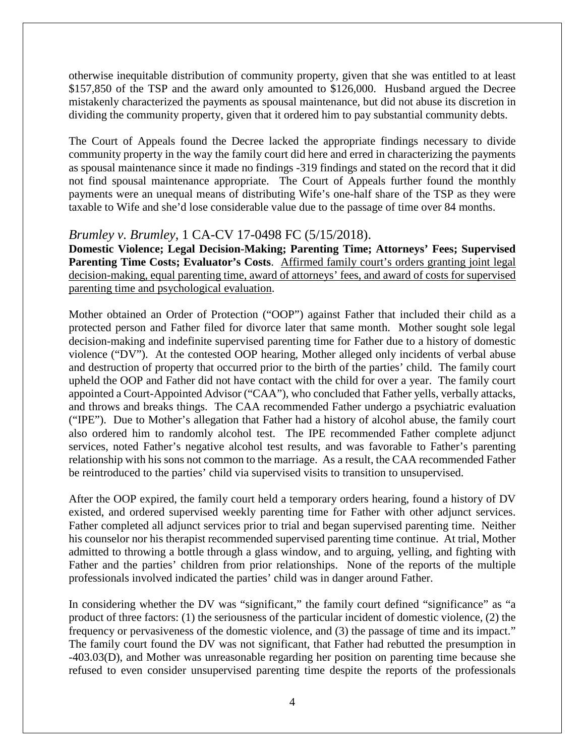otherwise inequitable distribution of community property, given that she was entitled to at least \$157,850 of the TSP and the award only amounted to \$126,000. Husband argued the Decree mistakenly characterized the payments as spousal maintenance, but did not abuse its discretion in dividing the community property, given that it ordered him to pay substantial community debts.

The Court of Appeals found the Decree lacked the appropriate findings necessary to divide community property in the way the family court did here and erred in characterizing the payments as spousal maintenance since it made no findings -319 findings and stated on the record that it did not find spousal maintenance appropriate. The Court of Appeals further found the monthly payments were an unequal means of distributing Wife's one-half share of the TSP as they were taxable to Wife and she'd lose considerable value due to the passage of time over 84 months.

## *Brumley v. Brumley*, 1 CA-CV 17-0498 FC (5/15/2018).

**Domestic Violence; Legal Decision-Making; Parenting Time; Attorneys' Fees; Supervised**  Parenting Time Costs; Evaluator's Costs. Affirmed family court's orders granting joint legal decision-making, equal parenting time, award of attorneys' fees, and award of costs for supervised parenting time and psychological evaluation.

Mother obtained an Order of Protection ("OOP") against Father that included their child as a protected person and Father filed for divorce later that same month. Mother sought sole legal decision-making and indefinite supervised parenting time for Father due to a history of domestic violence ("DV"). At the contested OOP hearing, Mother alleged only incidents of verbal abuse and destruction of property that occurred prior to the birth of the parties' child. The family court upheld the OOP and Father did not have contact with the child for over a year. The family court appointed a Court-Appointed Advisor ("CAA"), who concluded that Father yells, verbally attacks, and throws and breaks things. The CAA recommended Father undergo a psychiatric evaluation ("IPE"). Due to Mother's allegation that Father had a history of alcohol abuse, the family court also ordered him to randomly alcohol test. The IPE recommended Father complete adjunct services, noted Father's negative alcohol test results, and was favorable to Father's parenting relationship with his sons not common to the marriage. As a result, the CAA recommended Father be reintroduced to the parties' child via supervised visits to transition to unsupervised.

After the OOP expired, the family court held a temporary orders hearing, found a history of DV existed, and ordered supervised weekly parenting time for Father with other adjunct services. Father completed all adjunct services prior to trial and began supervised parenting time. Neither his counselor nor his therapist recommended supervised parenting time continue. At trial, Mother admitted to throwing a bottle through a glass window, and to arguing, yelling, and fighting with Father and the parties' children from prior relationships. None of the reports of the multiple professionals involved indicated the parties' child was in danger around Father.

In considering whether the DV was "significant," the family court defined "significance" as "a product of three factors: (1) the seriousness of the particular incident of domestic violence, (2) the frequency or pervasiveness of the domestic violence, and (3) the passage of time and its impact." The family court found the DV was not significant, that Father had rebutted the presumption in -403.03(D), and Mother was unreasonable regarding her position on parenting time because she refused to even consider unsupervised parenting time despite the reports of the professionals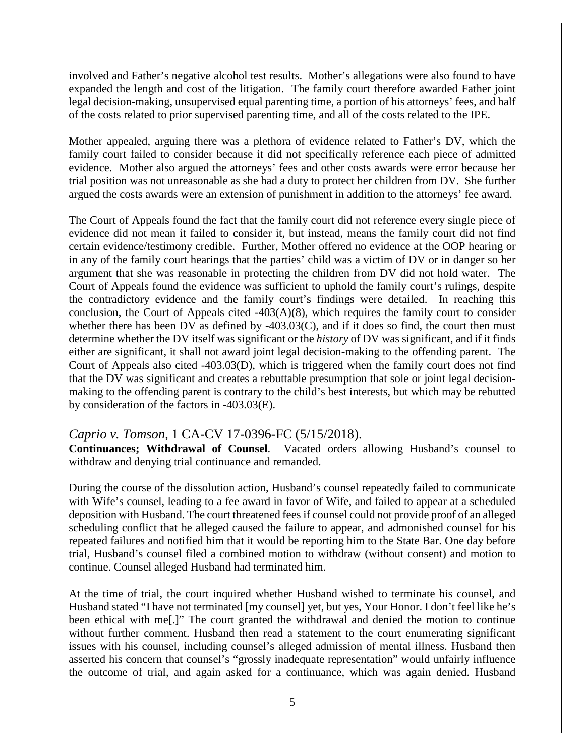involved and Father's negative alcohol test results. Mother's allegations were also found to have expanded the length and cost of the litigation. The family court therefore awarded Father joint legal decision-making, unsupervised equal parenting time, a portion of his attorneys' fees, and half of the costs related to prior supervised parenting time, and all of the costs related to the IPE.

Mother appealed, arguing there was a plethora of evidence related to Father's DV, which the family court failed to consider because it did not specifically reference each piece of admitted evidence. Mother also argued the attorneys' fees and other costs awards were error because her trial position was not unreasonable as she had a duty to protect her children from DV. She further argued the costs awards were an extension of punishment in addition to the attorneys' fee award.

The Court of Appeals found the fact that the family court did not reference every single piece of evidence did not mean it failed to consider it, but instead, means the family court did not find certain evidence/testimony credible. Further, Mother offered no evidence at the OOP hearing or in any of the family court hearings that the parties' child was a victim of DV or in danger so her argument that she was reasonable in protecting the children from DV did not hold water. The Court of Appeals found the evidence was sufficient to uphold the family court's rulings, despite the contradictory evidence and the family court's findings were detailed. In reaching this conclusion, the Court of Appeals cited -403(A)(8), which requires the family court to consider whether there has been DV as defined by -403.03(C), and if it does so find, the court then must determine whether the DV itself was significant or the *history* of DV was significant, and if it finds either are significant, it shall not award joint legal decision-making to the offending parent. The Court of Appeals also cited -403.03(D), which is triggered when the family court does not find that the DV was significant and creates a rebuttable presumption that sole or joint legal decisionmaking to the offending parent is contrary to the child's best interests, but which may be rebutted by consideration of the factors in -403.03(E).

### *Caprio v. Tomson*, 1 CA-CV 17-0396-FC (5/15/2018).

**Continuances; Withdrawal of Counsel**. Vacated orders allowing Husband's counsel to withdraw and denying trial continuance and remanded.

During the course of the dissolution action, Husband's counsel repeatedly failed to communicate with Wife's counsel, leading to a fee award in favor of Wife, and failed to appear at a scheduled deposition with Husband. The court threatened fees if counsel could not provide proof of an alleged scheduling conflict that he alleged caused the failure to appear, and admonished counsel for his repeated failures and notified him that it would be reporting him to the State Bar. One day before trial, Husband's counsel filed a combined motion to withdraw (without consent) and motion to continue. Counsel alleged Husband had terminated him.

At the time of trial, the court inquired whether Husband wished to terminate his counsel, and Husband stated "I have not terminated [my counsel] yet, but yes, Your Honor. I don't feel like he's been ethical with me[.]" The court granted the withdrawal and denied the motion to continue without further comment. Husband then read a statement to the court enumerating significant issues with his counsel, including counsel's alleged admission of mental illness. Husband then asserted his concern that counsel's "grossly inadequate representation" would unfairly influence the outcome of trial, and again asked for a continuance, which was again denied. Husband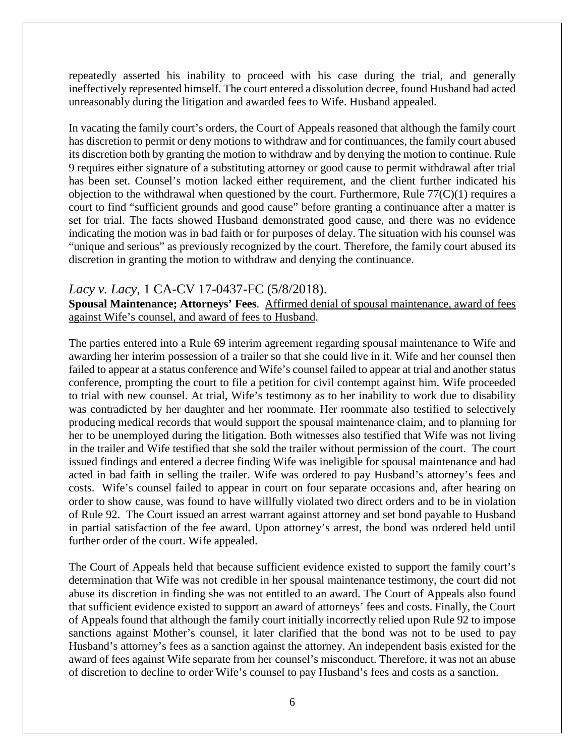repeatedly asserted his inability to proceed with his case during the trial, and generally ineffectively represented himself. The court entered a dissolution decree, found Husband had acted unreasonably during the litigation and awarded fees to Wife. Husband appealed.

In vacating the family court's orders, the Court of Appeals reasoned that although the family court has discretion to permit or deny motions to withdraw and for continuances, the family court abused its discretion both by granting the motion to withdraw and by denying the motion to continue. Rule 9 requires either signature of a substituting attorney or good cause to permit withdrawal after trial has been set. Counsel's motion lacked either requirement, and the client further indicated his objection to the withdrawal when questioned by the court. Furthermore, Rule  $77(C)(1)$  requires a court to find "sufficient grounds and good cause" before granting a continuance after a matter is set for trial. The facts showed Husband demonstrated good cause, and there was no evidence indicating the motion was in bad faith or for purposes of delay. The situation with his counsel was "unique and serious" as previously recognized by the court. Therefore, the family court abused its discretion in granting the motion to withdraw and denying the continuance.

#### *Lacy v. Lacy*, 1 CA-CV 17-0437-FC (5/8/2018).

**Spousal Maintenance; Attorneys' Fees**. Affirmed denial of spousal maintenance, award of fees against Wife's counsel, and award of fees to Husband.

The parties entered into a Rule 69 interim agreement regarding spousal maintenance to Wife and awarding her interim possession of a trailer so that she could live in it. Wife and her counsel then failed to appear at a status conference and Wife's counsel failed to appear at trial and another status conference, prompting the court to file a petition for civil contempt against him. Wife proceeded to trial with new counsel. At trial, Wife's testimony as to her inability to work due to disability was contradicted by her daughter and her roommate. Her roommate also testified to selectively producing medical records that would support the spousal maintenance claim, and to planning for her to be unemployed during the litigation. Both witnesses also testified that Wife was not living in the trailer and Wife testified that she sold the trailer without permission of the court. The court issued findings and entered a decree finding Wife was ineligible for spousal maintenance and had acted in bad faith in selling the trailer. Wife was ordered to pay Husband's attorney's fees and costs. Wife's counsel failed to appear in court on four separate occasions and, after hearing on order to show cause, was found to have willfully violated two direct orders and to be in violation of Rule 92. The Court issued an arrest warrant against attorney and set bond payable to Husband in partial satisfaction of the fee award. Upon attorney's arrest, the bond was ordered held until further order of the court. Wife appealed.

The Court of Appeals held that because sufficient evidence existed to support the family court's determination that Wife was not credible in her spousal maintenance testimony, the court did not abuse its discretion in finding she was not entitled to an award. The Court of Appeals also found that sufficient evidence existed to support an award of attorneys' fees and costs. Finally, the Court of Appeals found that although the family court initially incorrectly relied upon Rule 92 to impose sanctions against Mother's counsel, it later clarified that the bond was not to be used to pay Husband's attorney's fees as a sanction against the attorney. An independent basis existed for the award of fees against Wife separate from her counsel's misconduct. Therefore, it was not an abuse of discretion to decline to order Wife's counsel to pay Husband's fees and costs as a sanction.